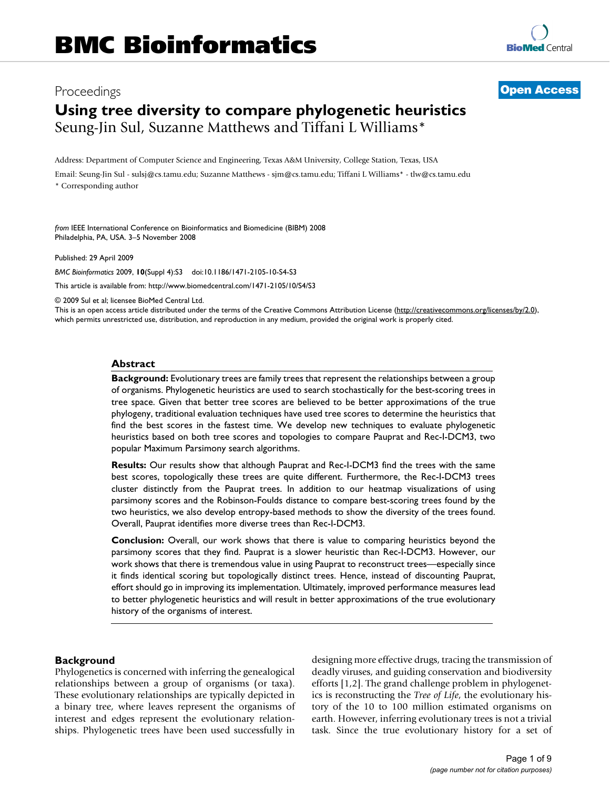# Proceedings **[Open Access](http://www.biomedcentral.com/info/about/charter/) Using tree diversity to compare phylogenetic heuristics** Seung-Jin Sul, Suzanne Matthews and Tiffani L Williams\*

Address: Department of Computer Science and Engineering, Texas A&M University, College Station, Texas, USA

Email: Seung-Jin Sul - sulsj@cs.tamu.edu; Suzanne Matthews - sjm@cs.tamu.edu; Tiffani L Williams\* - tlw@cs.tamu.edu \* Corresponding author

*from* IEEE International Conference on Bioinformatics and Biomedicine (BIBM) 2008 Philadelphia, PA, USA. 3–5 November 2008

Published: 29 April 2009

*BMC Bioinformatics* 2009, **10**(Suppl 4):S3 doi:10.1186/1471-2105-10-S4-S3

[This article is available from: http://www.biomedcentral.com/1471-2105/10/S4/S3](http://www.biomedcentral.com/1471-2105/10/S4/S3)

© 2009 Sul et al; licensee BioMed Central Ltd.

This is an open access article distributed under the terms of the Creative Commons Attribution License [\(http://creativecommons.org/licenses/by/2.0\)](http://creativecommons.org/licenses/by/2.0), which permits unrestricted use, distribution, and reproduction in any medium, provided the original work is properly cited.

# **Abstract**

**Background:** Evolutionary trees are family trees that represent the relationships between a group of organisms. Phylogenetic heuristics are used to search stochastically for the best-scoring trees in tree space. Given that better tree scores are believed to be better approximations of the true phylogeny, traditional evaluation techniques have used tree scores to determine the heuristics that find the best scores in the fastest time. We develop new techniques to evaluate phylogenetic heuristics based on both tree scores and topologies to compare Pauprat and Rec-I-DCM3, two popular Maximum Parsimony search algorithms.

**Results:** Our results show that although Pauprat and Rec-I-DCM3 find the trees with the same best scores, topologically these trees are quite different. Furthermore, the Rec-I-DCM3 trees cluster distinctly from the Pauprat trees. In addition to our heatmap visualizations of using parsimony scores and the Robinson-Foulds distance to compare best-scoring trees found by the two heuristics, we also develop entropy-based methods to show the diversity of the trees found. Overall, Pauprat identifies more diverse trees than Rec-I-DCM3.

**Conclusion:** Overall, our work shows that there is value to comparing heuristics beyond the parsimony scores that they find. Pauprat is a slower heuristic than Rec-I-DCM3. However, our work shows that there is tremendous value in using Pauprat to reconstruct trees—especially since it finds identical scoring but topologically distinct trees. Hence, instead of discounting Pauprat, effort should go in improving its implementation. Ultimately, improved performance measures lead to better phylogenetic heuristics and will result in better approximations of the true evolutionary history of the organisms of interest.

# **Background**

Phylogenetics is concerned with inferring the genealogical relationships between a group of organisms (or taxa). These evolutionary relationships are typically depicted in a binary tree, where leaves represent the organisms of interest and edges represent the evolutionary relationships. Phylogenetic trees have been used successfully in designing more effective drugs, tracing the transmission of deadly viruses, and guiding conservation and biodiversity efforts [1,2]. The grand challenge problem in phylogenetics is reconstructing the *Tree of Life*, the evolutionary history of the 10 to 100 million estimated organisms on earth. However, inferring evolutionary trees is not a trivial task. Since the true evolutionary history for a set of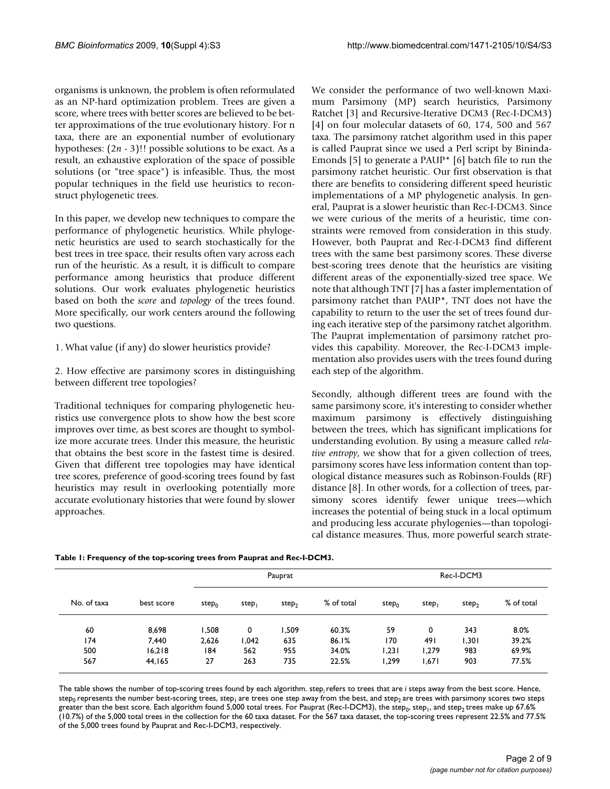organisms is unknown, the problem is often reformulated as an NP-hard optimization problem. Trees are given a score, where trees with better scores are believed to be better approximations of the true evolutionary history. For n taxa, there are an exponential number of evolutionary hypotheses: (2*n* - 3)!! possible solutions to be exact. As a result, an exhaustive exploration of the space of possible solutions (or "tree space") is infeasible. Thus, the most popular techniques in the field use heuristics to reconstruct phylogenetic trees.

In this paper, we develop new techniques to compare the performance of phylogenetic heuristics. While phylogenetic heuristics are used to search stochastically for the best trees in tree space, their results often vary across each run of the heuristic. As a result, it is difficult to compare performance among heuristics that produce different solutions. Our work evaluates phylogenetic heuristics based on both the *score* and *topology* of the trees found. More specifically, our work centers around the following two questions.

1. What value (if any) do slower heuristics provide?

2. How effective are parsimony scores in distinguishing between different tree topologies?

Traditional techniques for comparing phylogenetic heuristics use convergence plots to show how the best score improves over time, as best scores are thought to symbolize more accurate trees. Under this measure, the heuristic that obtains the best score in the fastest time is desired. Given that different tree topologies may have identical tree scores, preference of good-scoring trees found by fast heuristics may result in overlooking potentially more accurate evolutionary histories that were found by slower approaches.

We consider the performance of two well-known Maximum Parsimony (MP) search heuristics, Parsimony Ratchet [3] and Recursive-Iterative DCM3 (Rec-I-DCM3) [4] on four molecular datasets of 60, 174, 500 and 567 taxa. The parsimony ratchet algorithm used in this paper is called Pauprat since we used a Perl script by Bininda-Emonds [5] to generate a PAUP\* [6] batch file to run the parsimony ratchet heuristic. Our first observation is that there are benefits to considering different speed heuristic implementations of a MP phylogenetic analysis. In general, Pauprat is a slower heuristic than Rec-I-DCM3. Since we were curious of the merits of a heuristic, time constraints were removed from consideration in this study. However, both Pauprat and Rec-I-DCM3 find different trees with the same best parsimony scores. These diverse best-scoring trees denote that the heuristics are visiting different areas of the exponentially-sized tree space. We note that although TNT [7] has a faster implementation of parsimony ratchet than PAUP\*, TNT does not have the capability to return to the user the set of trees found during each iterative step of the parsimony ratchet algorithm. The Pauprat implementation of parsimony ratchet provides this capability. Moreover, the Rec-I-DCM3 implementation also provides users with the trees found during each step of the algorithm.

Secondly, although different trees are found with the same parsimony score, it's interesting to consider whether maximum parsimony is effectively distinguishing between the trees, which has significant implications for understanding evolution. By using a measure called *relative entropy*, we show that for a given collection of trees, parsimony scores have less information content than topological distance measures such as Robinson-Foulds (RF) distance [8]. In other words, for a collection of trees, parsimony scores identify fewer unique trees—which increases the potential of being stuck in a local optimum and producing less accurate phylogenies—than topological distance measures. Thus, more powerful search strate-

|  |  | Table 1: Frequency of the top-scoring trees from Pauprat and Rec-I-DCM3. |
|--|--|--------------------------------------------------------------------------|
|  |  |                                                                          |

| No. of taxa | best score | Pauprat           |                   |                   | Rec-I-DCM3 |                   |                   |                   |            |
|-------------|------------|-------------------|-------------------|-------------------|------------|-------------------|-------------------|-------------------|------------|
|             |            | step <sub>0</sub> | step <sub>1</sub> | step <sub>2</sub> | % of total | step <sub>0</sub> | step <sub>1</sub> | step <sub>2</sub> | % of total |
| 60          | 8,698      | 1,508             | 0                 | 1,509             | 60.3%      | 59                | 0                 | 343               | 8.0%       |
| 174         | 7,440      | 2,626             | 1,042             | 635               | 86.1%      | 170               | 491               | 1,301             | 39.2%      |
| 500         | 16,218     | 184               | 562               | 955               | 34.0%      | ا 23. ا           | 1,279             | 983               | 69.9%      |
| 567         | 44,165     | 27                | 263               | 735               | 22.5%      | ,299              | ا 671.            | 903               | 77.5%      |

The table shows the number of top-scoring trees found by each algorithm. step*i* refers to trees that are *i* steps away from the best score. Hence,  $step_0$  represents the number best-scoring trees, step<sub>1</sub> are trees one step away from the best, and step<sub>2</sub> are trees with parsimony scores two steps greater than the best score. Each algorithm found 5,000 total trees. For Pauprat (Rec-I-DCM3), the step<sub>0</sub>, step<sub>1</sub>, and step<sub>2</sub> trees make up 67.6% (10.7%) of the 5,000 total trees in the collection for the 60 taxa dataset. For the 567 taxa dataset, the top-scoring trees represent 22.5% and 77.5% of the 5,000 trees found by Pauprat and Rec-I-DCM3, respectively.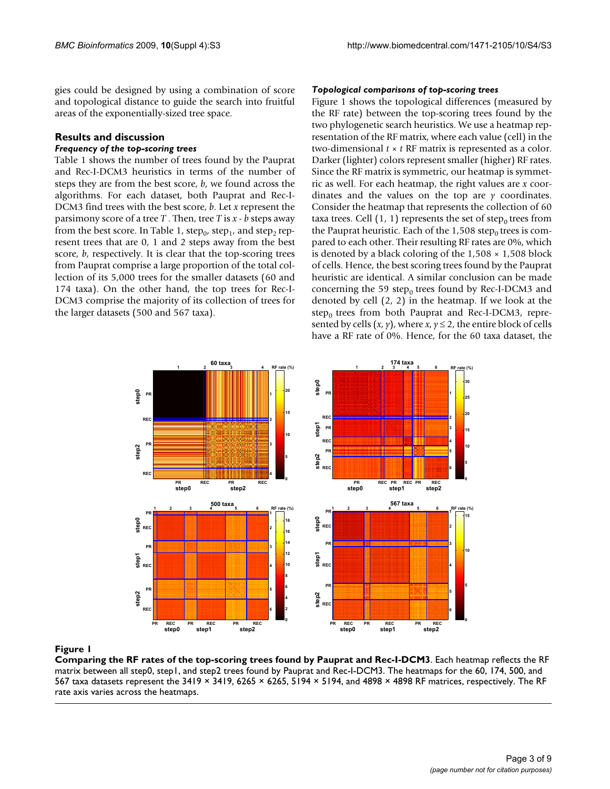gies could be designed by using a combination of score and topological distance to guide the search into fruitful areas of the exponentially-sized tree space.

# **Results and discussion**

# *Frequency of the top-scoring trees*

Table 1 shows the number of trees found by the Pauprat and Rec-I-DCM3 heuristics in terms of the number of steps they are from the best score, *b*, we found across the algorithms. For each dataset, both Pauprat and Rec-I-DCM3 find trees with the best score, *b*. Let *x* represent the parsimony score of a tree *T* . Then, tree *T* is *x* - *b* steps away from the best score. In Table 1, step<sub>0</sub>, step<sub>1</sub>, and step<sub>2</sub> represent trees that are 0, 1 and 2 steps away from the best score, *b*, respectively. It is clear that the top-scoring trees from Pauprat comprise a large proportion of the total collection of its 5,000 trees for the smaller datasets (60 and 174 taxa). On the other hand, the top trees for Rec-I-DCM3 comprise the majority of its collection of trees for the larger datasets (500 and 567 taxa).

# *Topological comparisons of top-scoring trees*

Figure 1 shows the topological differences (measured by the RF rate) between the top-scoring trees found by the two phylogenetic search heuristics. We use a heatmap representation of the RF matrix, where each value (cell) in the two-dimensional *t* × *t* RF matrix is represented as a color. Darker (lighter) colors represent smaller (higher) RF rates. Since the RF matrix is symmetric, our heatmap is symmetric as well. For each heatmap, the right values are *x* coordinates and the values on the top are *y* coordinates. Consider the heatmap that represents the collection of 60 taxa trees. Cell  $(1, 1)$  represents the set of step<sub>0</sub> trees from the Pauprat heuristic. Each of the  $1,508$  step<sub>0</sub> trees is compared to each other. Their resulting RF rates are 0%, which is denoted by a black coloring of the  $1,508 \times 1,508$  block of cells. Hence, the best scoring trees found by the Pauprat heuristic are identical. A similar conclusion can be made concerning the 59 step $<sub>0</sub>$  trees found by Rec-I-DCM3 and</sub> denoted by cell (2, 2) in the heatmap. If we look at the step<sub>0</sub> trees from both Pauprat and Rec-I-DCM3, represented by cells  $(x, y)$ , where  $x, y \le 2$ , the entire block of cells have a RF rate of 0%. Hence, for the 60 taxa dataset, the



# Comparing the RF rates of the top-scorin **Figure 1** g trees found by Pauprat and Rec-I-DCM3

**Comparing the RF rates of the top-scoring trees found by Pauprat and Rec-I-DCM3**. Each heatmap reflects the RF matrix between all step0, step1, and step2 trees found by Pauprat and Rec-I-DCM3. The heatmaps for the 60, 174, 500, and 567 taxa datasets represent the 3419 × 3419, 6265 × 6265, 5194 × 5194, and 4898 × 4898 RF matrices, respectively. The RF rate axis varies across the heatmaps.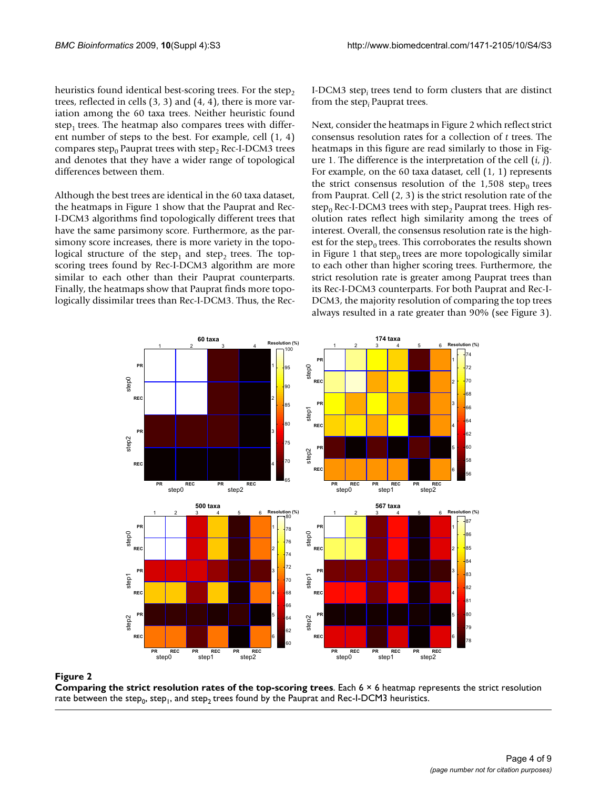heuristics found identical best-scoring trees. For the step. trees, reflected in cells (3, 3) and (4, 4), there is more variation among the 60 taxa trees. Neither heuristic found step<sub>1</sub> trees. The heatmap also compares trees with different number of steps to the best. For example, cell (1, 4) compares step<sub>0</sub> Pauprat trees with step<sub>2</sub> Rec-I-DCM3 trees and denotes that they have a wider range of topological differences between them.

Although the best trees are identical in the 60 taxa dataset, the heatmaps in Figure 1 show that the Pauprat and Rec-I-DCM3 algorithms find topologically different trees that have the same parsimony score. Furthermore, as the parsimony score increases, there is more variety in the topological structure of the step<sub>1</sub> and step<sub>2</sub> trees. The topscoring trees found by Rec-I-DCM3 algorithm are more similar to each other than their Pauprat counterparts. Finally, the heatmaps show that Pauprat finds more topologically dissimilar trees than Rec-I-DCM3. Thus, the RecI-DCM3 step*i* trees tend to form clusters that are distinct from the step*i* Pauprat trees.

Next, consider the heatmaps in Figure 2 which reflect strict consensus resolution rates for a collection of *t* trees. The heatmaps in this figure are read similarly to those in Figure 1. The difference is the interpretation of the cell (*i*, *j*). For example, on the 60 taxa dataset, cell (1, 1) represents the strict consensus resolution of the  $1,508$  step<sub>0</sub> trees from Pauprat. Cell (2, 3) is the strict resolution rate of the step<sub>0</sub> Rec-I-DCM3 trees with step<sub>2</sub> Pauprat trees. High resolution rates reflect high similarity among the trees of interest. Overall, the consensus resolution rate is the highest for the step<sub>0</sub> trees. This corroborates the results shown in Figure 1 that step $<sub>0</sub>$  trees are more topologically similar</sub> to each other than higher scoring trees. Furthermore, the strict resolution rate is greater among Pauprat trees than its Rec-I-DCM3 counterparts. For both Pauprat and Rec-I-DCM3, the majority resolution of comparing the top trees always resulted in a rate greater than 90% (see Figure 3).



Figure 2

**Comparing the strict resolution rates of the top-scoring trees**. Each 6 × 6 heatmap represents the strict resolution rate between the step<sub>0</sub>, step<sub>1</sub>, and step<sub>2</sub> trees found by the Pauprat and Rec-I-DCM3 heuristics.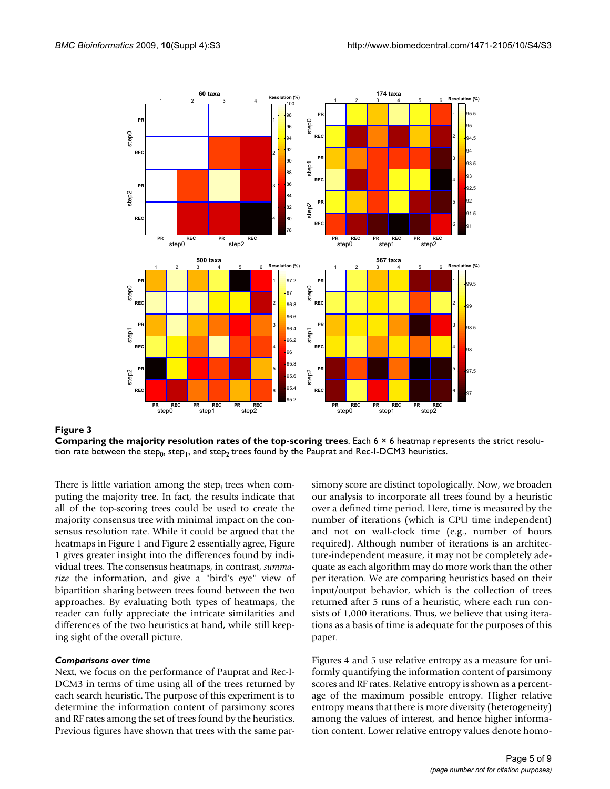

Figure 3

**Comparing the majority resolution rates of the top-scoring trees**. Each 6 × 6 heatmap represents the strict resolution rate between the step<sub>0</sub>, step<sub>1</sub>, and step<sub>2</sub> trees found by the Pauprat and Rec-I-DCM3 heuristics.

There is little variation among the step*i* trees when computing the majority tree. In fact, the results indicate that all of the top-scoring trees could be used to create the majority consensus tree with minimal impact on the consensus resolution rate. While it could be argued that the heatmaps in Figure 1 and Figure 2 essentially agree, Figure 1 gives greater insight into the differences found by individual trees. The consensus heatmaps, in contrast, *summarize* the information, and give a "bird's eye" view of bipartition sharing between trees found between the two approaches. By evaluating both types of heatmaps, the reader can fully appreciate the intricate similarities and differences of the two heuristics at hand, while still keeping sight of the overall picture.

# *Comparisons over time*

Next, we focus on the performance of Pauprat and Rec-I-DCM3 in terms of time using all of the trees returned by each search heuristic. The purpose of this experiment is to determine the information content of parsimony scores and RF rates among the set of trees found by the heuristics. Previous figures have shown that trees with the same parsimony score are distinct topologically. Now, we broaden our analysis to incorporate all trees found by a heuristic over a defined time period. Here, time is measured by the number of iterations (which is CPU time independent) and not on wall-clock time (e.g., number of hours required). Although number of iterations is an architecture-independent measure, it may not be completely adequate as each algorithm may do more work than the other per iteration. We are comparing heuristics based on their input/output behavior, which is the collection of trees returned after 5 runs of a heuristic, where each run consists of 1,000 iterations. Thus, we believe that using iterations as a basis of time is adequate for the purposes of this paper.

Figures 4 and 5 use relative entropy as a measure for uniformly quantifying the information content of parsimony scores and RF rates. Relative entropy is shown as a percentage of the maximum possible entropy. Higher relative entropy means that there is more diversity (heterogeneity) among the values of interest, and hence higher information content. Lower relative entropy values denote homo-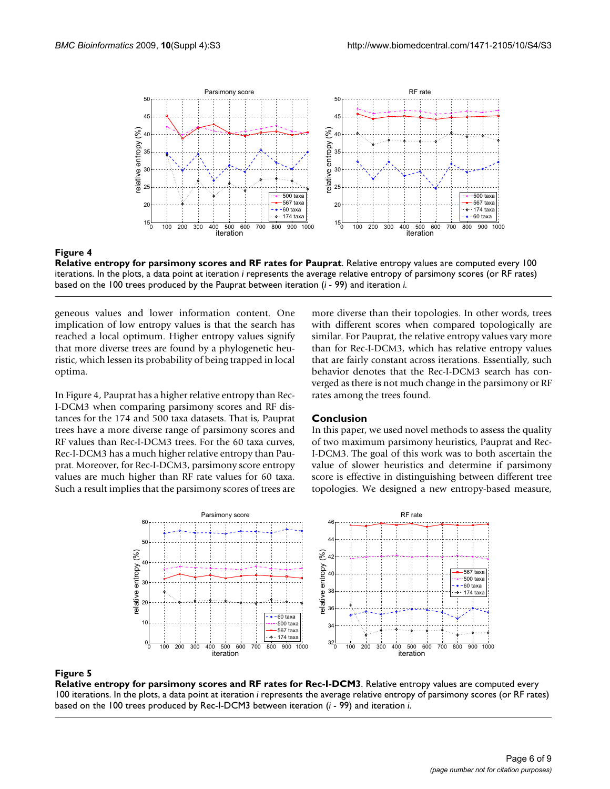

# **Figure 4**

**Relative entropy for parsimony scores and RF rates for Pauprat**. Relative entropy values are computed every 100 iterations. In the plots, a data point at iteration *i* represents the average relative entropy of parsimony scores (or RF rates) based on the 100 trees produced by the Pauprat between iteration (*i* - 99) and iteration *i*.

geneous values and lower information content. One implication of low entropy values is that the search has reached a local optimum. Higher entropy values signify that more diverse trees are found by a phylogenetic heuristic, which lessen its probability of being trapped in local optima.

In Figure 4, Pauprat has a higher relative entropy than Rec-I-DCM3 when comparing parsimony scores and RF distances for the 174 and 500 taxa datasets. That is, Pauprat trees have a more diverse range of parsimony scores and RF values than Rec-I-DCM3 trees. For the 60 taxa curves, Rec-I-DCM3 has a much higher relative entropy than Pauprat. Moreover, for Rec-I-DCM3, parsimony score entropy values are much higher than RF rate values for 60 taxa. Such a result implies that the parsimony scores of trees are more diverse than their topologies. In other words, trees with different scores when compared topologically are similar. For Pauprat, the relative entropy values vary more than for Rec-I-DCM3, which has relative entropy values that are fairly constant across iterations. Essentially, such behavior denotes that the Rec-I-DCM3 search has converged as there is not much change in the parsimony or RF rates among the trees found.

# **Conclusion**

In this paper, we used novel methods to assess the quality of two maximum parsimony heuristics, Pauprat and Rec-I-DCM3. The goal of this work was to both ascertain the value of slower heuristics and determine if parsimony score is effective in distinguishing between different tree topologies. We designed a new entropy-based measure,



# **Figure 5**

**Relative entropy for parsimony scores and RF rates for Rec-I-DCM3**. Relative entropy values are computed every 100 iterations. In the plots, a data point at iteration *i* represents the average relative entropy of parsimony scores (or RF rates) based on the 100 trees produced by Rec-I-DCM3 between iteration (*i* - 99) and iteration *i*.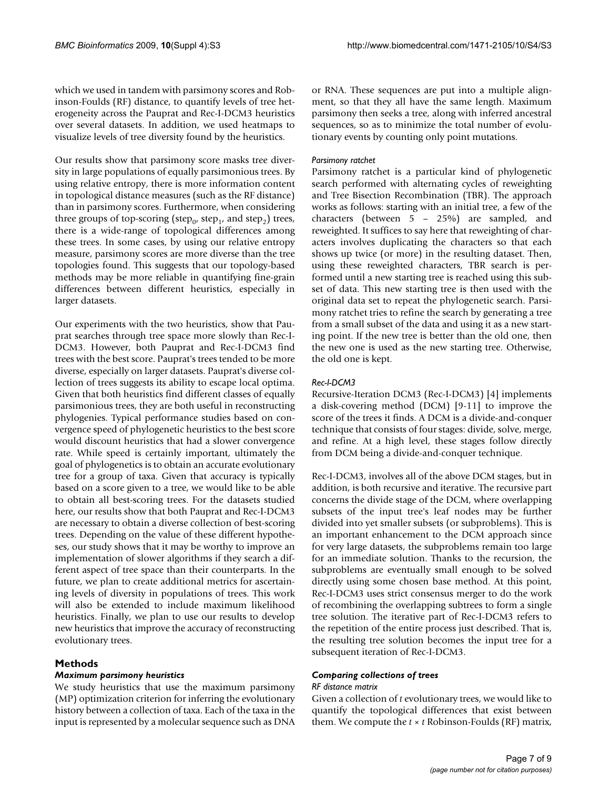which we used in tandem with parsimony scores and Robinson-Foulds (RF) distance, to quantify levels of tree heterogeneity across the Pauprat and Rec-I-DCM3 heuristics over several datasets. In addition, we used heatmaps to visualize levels of tree diversity found by the heuristics.

Our results show that parsimony score masks tree diversity in large populations of equally parsimonious trees. By using relative entropy, there is more information content in topological distance measures (such as the RF distance) than in parsimony scores. Furthermore, when considering three groups of top-scoring (step<sub>0</sub>, step<sub>1</sub>, and step<sub>2</sub>) trees, there is a wide-range of topological differences among these trees. In some cases, by using our relative entropy measure, parsimony scores are more diverse than the tree topologies found. This suggests that our topology-based methods may be more reliable in quantifying fine-grain differences between different heuristics, especially in larger datasets.

Our experiments with the two heuristics, show that Pauprat searches through tree space more slowly than Rec-I-DCM3. However, both Pauprat and Rec-I-DCM3 find trees with the best score. Pauprat's trees tended to be more diverse, especially on larger datasets. Pauprat's diverse collection of trees suggests its ability to escape local optima. Given that both heuristics find different classes of equally parsimonious trees, they are both useful in reconstructing phylogenies. Typical performance studies based on convergence speed of phylogenetic heuristics to the best score would discount heuristics that had a slower convergence rate. While speed is certainly important, ultimately the goal of phylogenetics is to obtain an accurate evolutionary tree for a group of taxa. Given that accuracy is typically based on a score given to a tree, we would like to be able to obtain all best-scoring trees. For the datasets studied here, our results show that both Pauprat and Rec-I-DCM3 are necessary to obtain a diverse collection of best-scoring trees. Depending on the value of these different hypotheses, our study shows that it may be worthy to improve an implementation of slower algorithms if they search a different aspect of tree space than their counterparts. In the future, we plan to create additional metrics for ascertaining levels of diversity in populations of trees. This work will also be extended to include maximum likelihood heuristics. Finally, we plan to use our results to develop new heuristics that improve the accuracy of reconstructing evolutionary trees.

# **Methods**

# *Maximum parsimony heuristics*

We study heuristics that use the maximum parsimony (MP) optimization criterion for inferring the evolutionary history between a collection of taxa. Each of the taxa in the input is represented by a molecular sequence such as DNA

or RNA. These sequences are put into a multiple alignment, so that they all have the same length. Maximum parsimony then seeks a tree, along with inferred ancestral sequences, so as to minimize the total number of evolutionary events by counting only point mutations.

# *Parsimony ratchet*

Parsimony ratchet is a particular kind of phylogenetic search performed with alternating cycles of reweighting and Tree Bisection Recombination (TBR). The approach works as follows: starting with an initial tree, a few of the characters (between 5 – 25%) are sampled, and reweighted. It suffices to say here that reweighting of characters involves duplicating the characters so that each shows up twice (or more) in the resulting dataset. Then, using these reweighted characters, TBR search is performed until a new starting tree is reached using this subset of data. This new starting tree is then used with the original data set to repeat the phylogenetic search. Parsimony ratchet tries to refine the search by generating a tree from a small subset of the data and using it as a new starting point. If the new tree is better than the old one, then the new one is used as the new starting tree. Otherwise, the old one is kept.

# *Rec-I-DCM3*

Recursive-Iteration DCM3 (Rec-I-DCM3) [4] implements a disk-covering method (DCM) [9-11] to improve the score of the trees it finds. A DCM is a divide-and-conquer technique that consists of four stages: divide, solve, merge, and refine. At a high level, these stages follow directly from DCM being a divide-and-conquer technique.

Rec-I-DCM3, involves all of the above DCM stages, but in addition, is both recursive and iterative. The recursive part concerns the divide stage of the DCM, where overlapping subsets of the input tree's leaf nodes may be further divided into yet smaller subsets (or subproblems). This is an important enhancement to the DCM approach since for very large datasets, the subproblems remain too large for an immediate solution. Thanks to the recursion, the subproblems are eventually small enough to be solved directly using some chosen base method. At this point, Rec-I-DCM3 uses strict consensus merger to do the work of recombining the overlapping subtrees to form a single tree solution. The iterative part of Rec-I-DCM3 refers to the repetition of the entire process just described. That is, the resulting tree solution becomes the input tree for a subsequent iteration of Rec-I-DCM3.

#### *Comparing collections of trees RF distance matrix*

Given a collection of *t* evolutionary trees, we would like to quantify the topological differences that exist between them. We compute the *t* × *t* Robinson-Foulds (RF) matrix,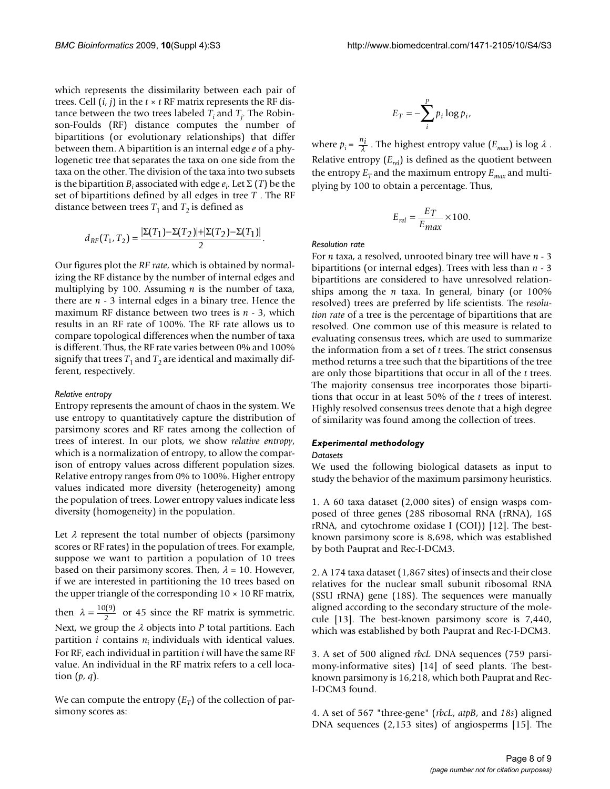which represents the dissimilarity between each pair of trees. Cell  $(i, j)$  in the  $t \times t$  RF matrix represents the RF distance between the two trees labeled  $T_i$  and  $T_j$ . The Robinson-Foulds (RF) distance computes the number of bipartitions (or evolutionary relationships) that differ between them. A bipartition is an internal edge *e* of a phylogenetic tree that separates the taxa on one side from the taxa on the other. The division of the taxa into two subsets is the bipartition  $B_i$  associated with edge  $e_i$ . Let  $\Sigma(T)$  be the set of bipartitions defined by all edges in tree *T* . The RF distance between trees  $T_1$  and  $T_2$  is defined as

$$
d_{RF}(T_1, T_2) = \frac{|\Sigma(T_1) - \Sigma(T_2)| + |\Sigma(T_2) - \Sigma(T_1)|}{2}.
$$

Our figures plot the *RF rate*, which is obtained by normalizing the RF distance by the number of internal edges and multiplying by 100. Assuming *n* is the number of taxa, there are *n* - 3 internal edges in a binary tree. Hence the maximum RF distance between two trees is *n* - 3, which results in an RF rate of 100%. The RF rate allows us to compare topological differences when the number of taxa is different. Thus, the RF rate varies between 0% and 100% signify that trees  $T_1$  and  $T_2$  are identical and maximally different, respectively.

#### *Relative entropy*

Entropy represents the amount of chaos in the system. We use entropy to quantitatively capture the distribution of parsimony scores and RF rates among the collection of trees of interest. In our plots, we show *relative entropy*, which is a normalization of entropy, to allow the comparison of entropy values across different population sizes. Relative entropy ranges from 0% to 100%. Higher entropy values indicated more diversity (heterogeneity) among the population of trees. Lower entropy values indicate less diversity (homogeneity) in the population.

Let  $\lambda$  represent the total number of objects (parsimony scores or RF rates) in the population of trees. For example, suppose we want to partition a population of 10 trees based on their parsimony scores. Then,  $\lambda = 10$ . However, if we are interested in partitioning the 10 trees based on the upper triangle of the corresponding  $10 \times 10$  RF matrix, then  $\lambda = \frac{10(9)}{2}$  or 45 since the RF matrix is symmetric. Next, we group the λ objects into *P* total partitions. Each partition  $i$  contains  $n_i$  individuals with identical values. For RF, each individual in partition *i* will have the same RF value. An individual in the RF matrix refers to a cell location  $(p, q)$ .  $(9)$ 

We can compute the entropy  $(E_T)$  of the collection of parsimony scores as:

$$
E_T = -\sum_i^p p_i \log p_i,
$$

where  $p_i = \frac{n_i}{\lambda}$ . The highest entropy value  $(E_{max})$  is log  $\lambda$ . Relative entropy (*Erel*) is defined as the quotient between the entropy  $E_T$  and the maximum entropy  $E_{max}$  and multiplying by 100 to obtain a percentage. Thus,

$$
E_{rel} = \frac{E_T}{E_{max}} \times 100.
$$

#### *Resolution rate*

For *n* taxa, a resolved, unrooted binary tree will have *n* - 3 bipartitions (or internal edges). Trees with less than *n* - 3 bipartitions are considered to have unresolved relationships among the *n* taxa. In general, binary (or 100% resolved) trees are preferred by life scientists. The *resolution rate* of a tree is the percentage of bipartitions that are resolved. One common use of this measure is related to evaluating consensus trees, which are used to summarize the information from a set of *t* trees. The strict consensus method returns a tree such that the bipartitions of the tree are only those bipartitions that occur in all of the *t* trees. The majority consensus tree incorporates those bipartitions that occur in at least 50% of the *t* trees of interest. Highly resolved consensus trees denote that a high degree of similarity was found among the collection of trees.

# *Experimental methodology*

#### *Datasets*

We used the following biological datasets as input to study the behavior of the maximum parsimony heuristics.

1. A 60 taxa dataset (2,000 sites) of ensign wasps composed of three genes (28S ribosomal RNA (rRNA), 16S rRNA, and cytochrome oxidase I (COI)) [12]. The bestknown parsimony score is 8,698, which was established by both Pauprat and Rec-I-DCM3.

2. A 174 taxa dataset (1,867 sites) of insects and their close relatives for the nuclear small subunit ribosomal RNA (SSU rRNA) gene (18S). The sequences were manually aligned according to the secondary structure of the molecule [13]. The best-known parsimony score is 7,440, which was established by both Pauprat and Rec-I-DCM3.

3. A set of 500 aligned *rbcL* DNA sequences (759 parsimony-informative sites) [14] of seed plants. The bestknown parsimony is 16,218, which both Pauprat and Rec-I-DCM3 found.

4. A set of 567 "three-gene" (*rbcL*, *atpB*, and *18s*) aligned DNA sequences (2,153 sites) of angiosperms [15]. The